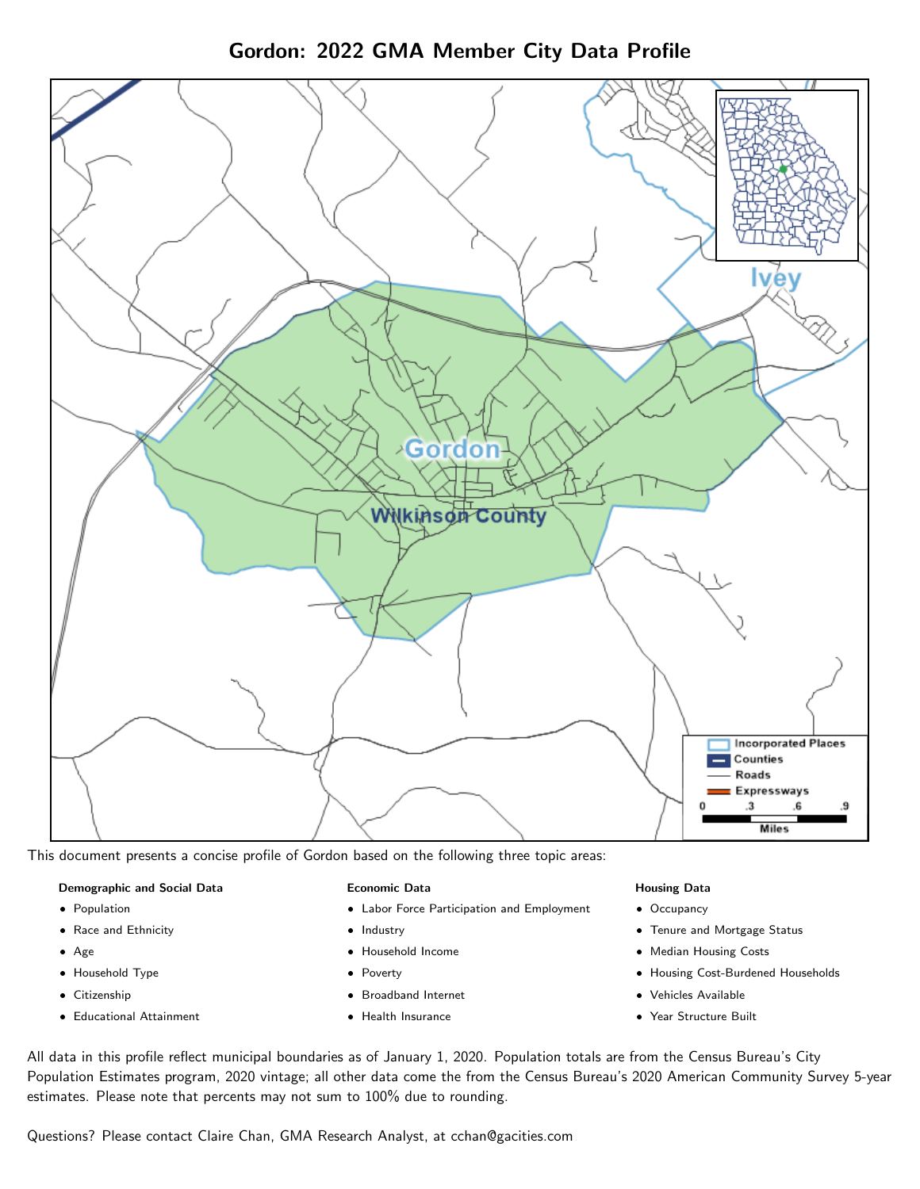



This document presents a concise profile of Gordon based on the following three topic areas:

## Demographic and Social Data

- **•** Population
- Race and Ethnicity
- Age
- Household Type
- **Citizenship**
- Educational Attainment

## Economic Data

- Labor Force Participation and Employment
- Industry
- Household Income
- Poverty
- Broadband Internet
- Health Insurance

#### Housing Data

- Occupancy
- Tenure and Mortgage Status
- Median Housing Costs
- Housing Cost-Burdened Households
- Vehicles Available
- Year Structure Built

All data in this profile reflect municipal boundaries as of January 1, 2020. Population totals are from the Census Bureau's City Population Estimates program, 2020 vintage; all other data come the from the Census Bureau's 2020 American Community Survey 5-year estimates. Please note that percents may not sum to 100% due to rounding.

Questions? Please contact Claire Chan, GMA Research Analyst, at [cchan@gacities.com.](mailto:cchan@gacities.com)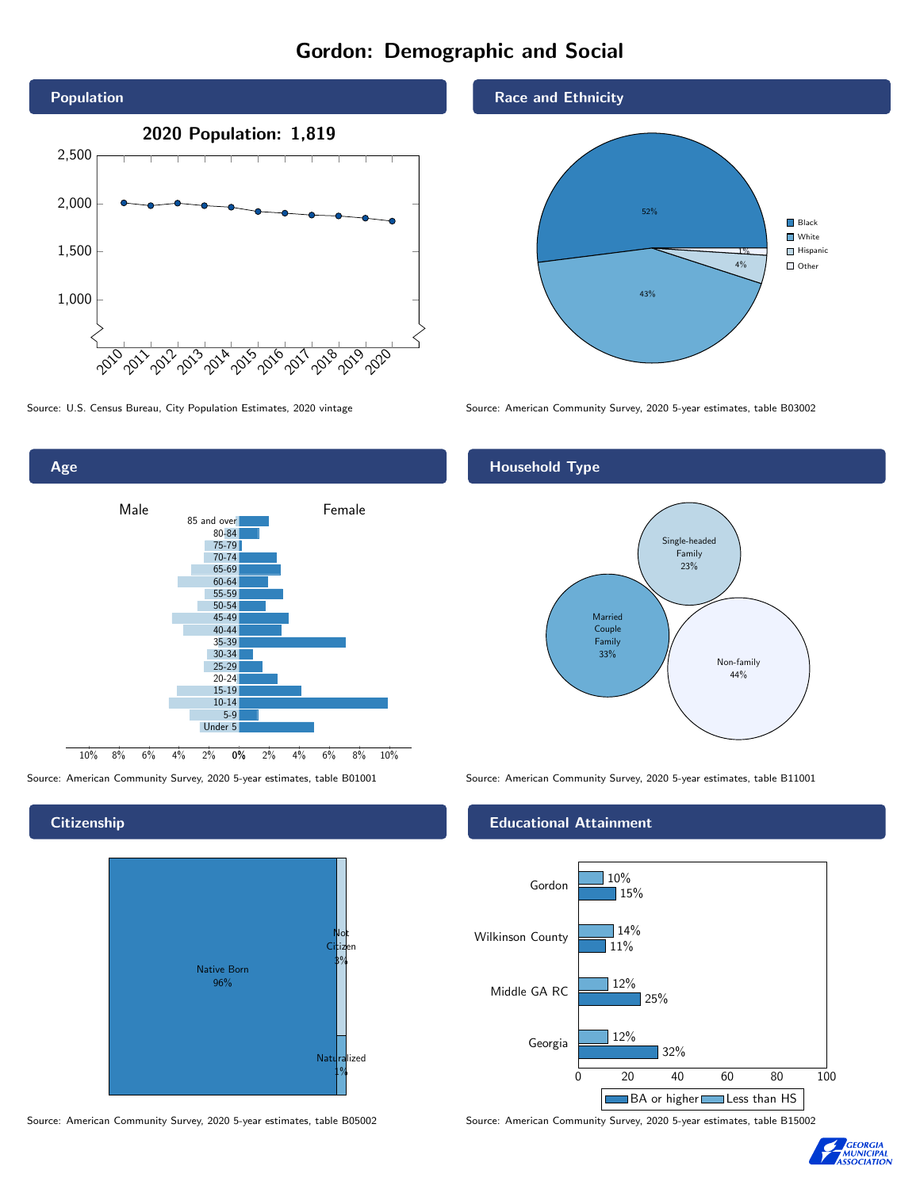# Gordon: Demographic and Social







Source: American Community Survey, 2020 5-year estimates, table B05002 Source: American Community Survey, 2020 5-year estimates, table B15002

## Race and Ethnicity



Source: U.S. Census Bureau, City Population Estimates, 2020 vintage Source: American Community Survey, 2020 5-year estimates, table B03002

# Household Type



Source: American Community Survey, 2020 5-year estimates, table B01001 Source: American Community Survey, 2020 5-year estimates, table B11001

## Educational Attainment





#### **Citizenship**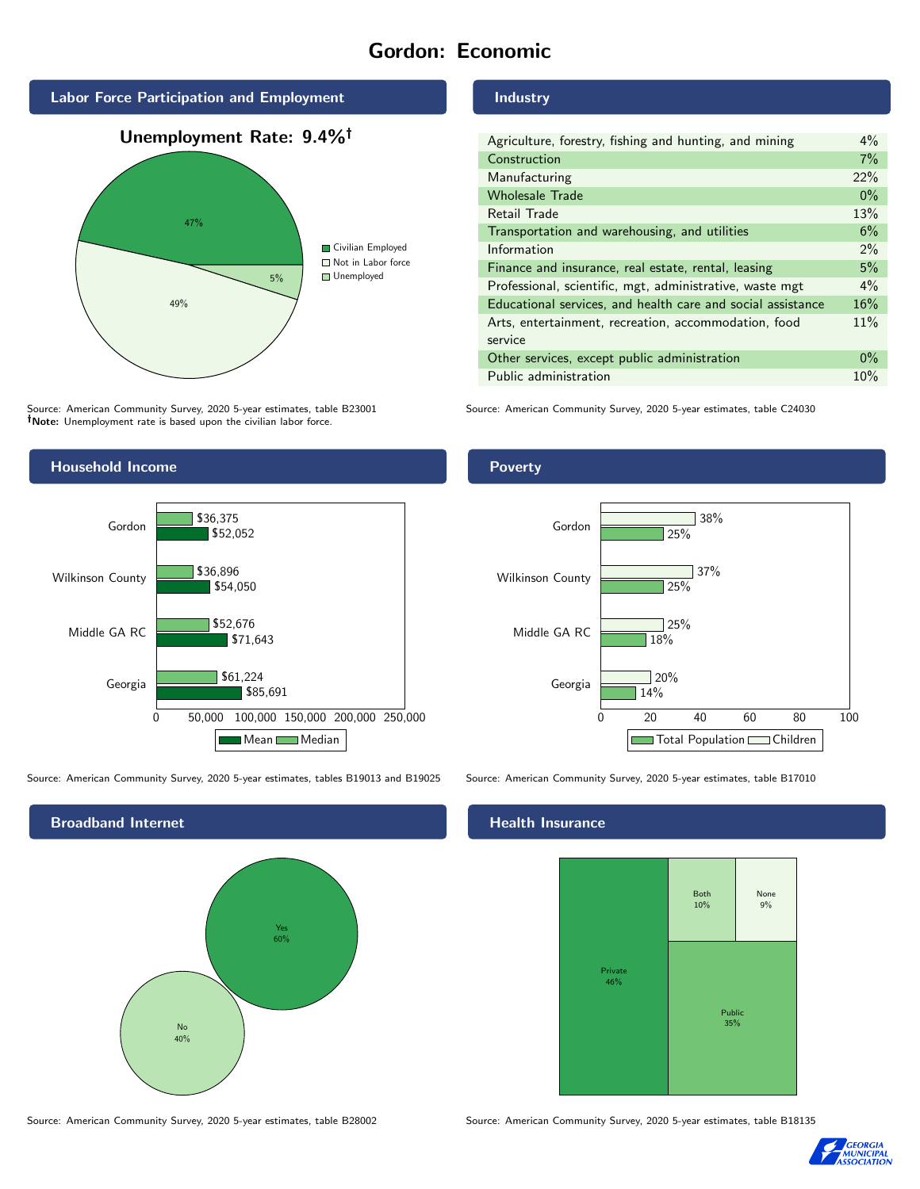# Gordon: Economic



Source: American Community Survey, 2020 5-year estimates, table B23001 Note: Unemployment rate is based upon the civilian labor force.

# Industry

| Agriculture, forestry, fishing and hunting, and mining      | $4\%$ |
|-------------------------------------------------------------|-------|
| Construction                                                | 7%    |
| Manufacturing                                               | 22%   |
| <b>Wholesale Trade</b>                                      | $0\%$ |
| Retail Trade                                                | 13%   |
| Transportation and warehousing, and utilities               | 6%    |
| Information                                                 | $2\%$ |
| Finance and insurance, real estate, rental, leasing         | 5%    |
| Professional, scientific, mgt, administrative, waste mgt    | $4\%$ |
| Educational services, and health care and social assistance | 16%   |
| Arts, entertainment, recreation, accommodation, food        | 11%   |
| service                                                     |       |
| Other services, except public administration                | $0\%$ |
| Public administration                                       | 10%   |

Source: American Community Survey, 2020 5-year estimates, table C24030



Source: American Community Survey, 2020 5-year estimates, tables B19013 and B19025 Source: American Community Survey, 2020 5-year estimates, table B17010

Broadband Internet No 40% Yes 60%

Poverty



## Health Insurance



Source: American Community Survey, 2020 5-year estimates, table B28002 Source: American Community Survey, 2020 5-year estimates, table B18135